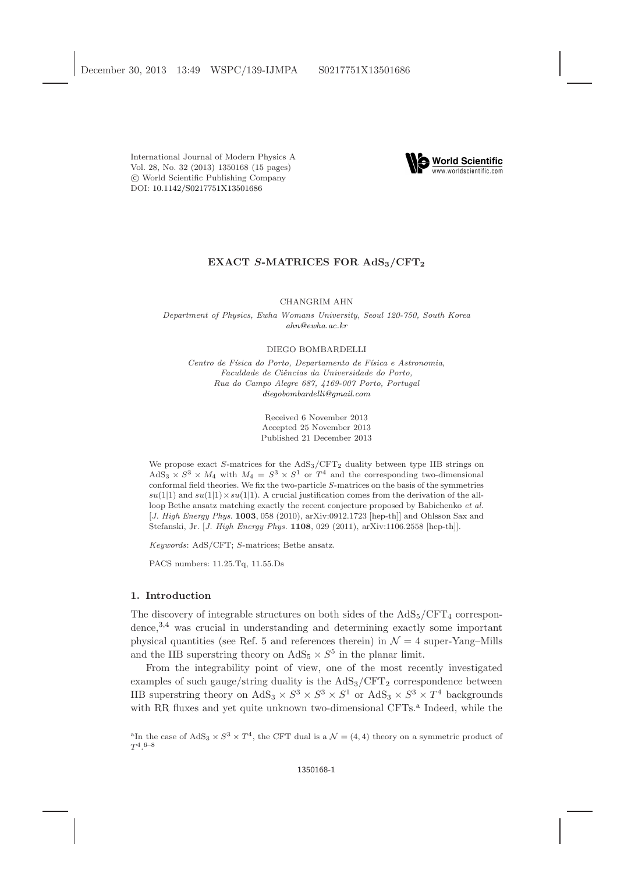International Journal of Modern Physics A Vol. 28, No. 32 (2013) 1350168 [\(15](#page-13-0) pages) c World Scientific Publishing Company DOI: [10.1142/S0217751X13501686](http://dx.doi.org/10.1142/S0217751X13501686)



## EXACT S-MATRICES FOR AdS<sub>3</sub>/CFT<sub>2</sub>

#### CHANGRIM AHN

Department of Physics, Ewha Womans University, Seoul 120-750, South Korea [ahn@ewha.ac.kr](mailto:ahn@ewha.ac.kr)

#### DIEGO BOMBARDELLI

Centro de Física do Porto, Departamento de Física e Astronomia, Faculdade de Ciências da Universidade do Porto, Rua do Campo Alegre 687, 4169-007 Porto, Portugal [diegobombardelli@gmail.com](mailto:diegobombardelli@gmail.com)

> Received 6 November 2013 Accepted 25 November 2013 Published 21 December 2013

We propose exact  $S$ -matrices for the  $AdS_3/CFT_2$  duality between type IIB strings on AdS<sub>3</sub>  $\times$  S<sup>3</sup>  $\times$  M<sub>4</sub> with M<sub>4</sub> = S<sup>3</sup>  $\times$  S<sup>1</sup> or T<sup>4</sup> and the corresponding two-dimensional conformal field theories. We fix the two-particle S-matrices on the basis of the symmetries  $su(1|1)$  and  $su(1|1) \times su(1|1)$ . A crucial justification comes from the derivation of the allloop Bethe ansatz matching exactly the recent conjecture proposed by Babichenko *et al.* [*J. High Energy Phys.* **1003**, 058 (2010), arXiv:0912.1723 [hep-th]] and Ohlsson Sax and Stefanski, Jr. [J. High Energy Phys. 1108, 029 (2011), arXiv:1106.2558 [hep-th]].

Keywords: AdS/CFT; S-matrices; Bethe ansatz.

PACS numbers: 11.25.Tq, 11.55.Ds

## 1. Introduction

The discovery of integrable structures on both sides of the  $AdS_5/CFT_4$  correspondence,[3,](#page-13-1)[4](#page-13-2) was crucial in understanding and determining exactly some important physical quantities (see Ref. [5](#page-13-3) and references therein) in  $\mathcal{N}=4$  super-Yang–Mills and the IIB superstring theory on  $AdS_5 \times S^5$  in the planar limit.

From the integrability point of view, one of the most recently investigated examples of such gauge/string duality is the  $AdS_3/CFT_2$  correspondence between IIB superstring theory on  $AdS_3 \times S^3 \times S^3 \times S^1$  or  $AdS_3 \times S^3 \times T^4$  backgrounds with RR fluxes [a](#page-0-0)nd yet quite unknown two-dimensional CFTs.<sup>a</sup> Indeed, while the

<span id="page-0-0"></span><sup>&</sup>lt;sup>a</sup>In the case of AdS<sub>3</sub>  $\times S^3 \times T^4$ , the CFT dual is a  $\mathcal{N} = (4, 4)$  theory on a symmetric product of  $T^4.6^{-8}$  $T^4.6^{-8}$  $T^4.6^{-8}$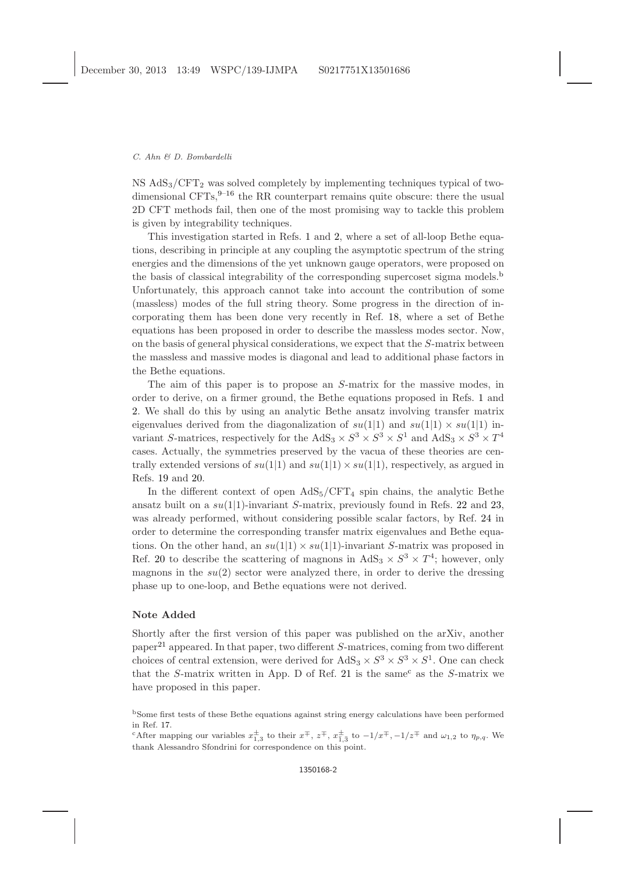$NS AdS<sub>3</sub>/CFT<sub>2</sub>$  was solved completely by implementing techniques typical of twodimensional CFTs,  $9-16$  $9-16$  the RR counterpart remains quite obscure: there the usual 2D CFT methods fail, then one of the most promising way to tackle this problem is given by integrability techniques.

This investigation started in Refs. [1](#page-13-8) and [2,](#page-13-9) where a set of all-loop Bethe equations, describing in principle at any coupling the asymptotic spectrum of the string energies and the dimensions of the yet unknown gauge operators, were proposed on the basis of classical integrability of the corresponding supercoset sigma models.[b](#page-1-0) Unfortunately, this approach cannot take into account the contribution of some (massless) modes of the full string theory. Some progress in the direction of incorporating them has been done very recently in Ref. [18,](#page-13-10) where a set of Bethe equations has been proposed in order to describe the massless modes sector. Now, on the basis of general physical considerations, we expect that the S-matrix between the massless and massive modes is diagonal and lead to additional phase factors in the Bethe equations.

The aim of this paper is to propose an S-matrix for the massive modes, in order to derive, on a firmer ground, the Bethe equations proposed in Refs. [1](#page-13-8) and [2.](#page-13-9) We shall do this by using an analytic Bethe ansatz involving transfer matrix eigenvalues derived from the diagonalization of  $su(1|1)$  and  $su(1|1) \times su(1|1)$  invariant S-matrices, respectively for the  $AdS_3 \times S^3 \times S^3 \times S^1$  and  $AdS_3 \times S^3 \times T^4$ cases. Actually, the symmetries preserved by the vacua of these theories are centrally extended versions of  $su(1|1)$  and  $su(1|1) \times su(1|1)$ , respectively, as argued in Refs. [19](#page-13-11) and [20.](#page-13-12)

In the different context of open  $AdS_5/CFT_4$  spin chains, the analytic Bethe ansatz built on a  $su(1|1)$ -invariant S-matrix, previously found in Refs. [22](#page-13-13) and [23,](#page-13-14) was already performed, without considering possible scalar factors, by Ref. [24](#page-13-15) in order to determine the corresponding transfer matrix eigenvalues and Bethe equations. On the other hand, an  $su(1|1) \times su(1|1)$ -invariant S-matrix was proposed in Ref. [20](#page-13-12) to describe the scattering of magnons in  $AdS_3 \times S^3 \times T^4$ ; however, only magnons in the  $su(2)$  sector were analyzed there, in order to derive the dressing phase up to one-loop, and Bethe equations were not derived.

## Note Added

Shortly after the first version of this paper was published on the arXiv, another paper<sup>[21](#page-13-16)</sup> appeared. In that paper, two different  $S$ -matrices, coming from two different choices of central extension, were derived for  $AdS_3 \times S^3 \times S^3 \times S^1$ . One can check that the S-matrix written in App. D of Ref. [21](#page-13-16) is the same  $\epsilon$  as the S-matrix we have proposed in this paper.

<span id="page-1-0"></span><sup>b</sup>Some first tests of these Bethe equations against string energy calculations have been performed in Ref. [17.](#page-13-17)

<span id="page-1-1"></span><sup>&</sup>lt;sup>c</sup>After mapping our variables  $x_{1,3}^{\pm}$  to their  $x^{\mp}$ ,  $z^{\mp}$ ,  $x_{1,3}^{\pm}$  to  $-1/x^{\mp}$ ,  $-1/z^{\mp}$  and  $\omega_{1,2}$  to  $\eta_{p,q}$ . We thank Alessandro Sfondrini for correspondence on this point.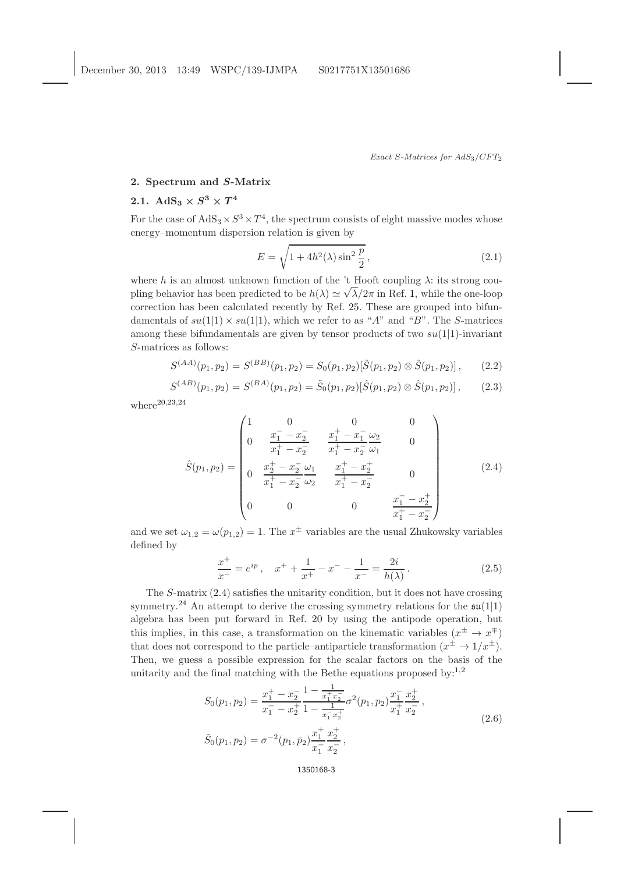## 2. Spectrum and S-Matrix

# 2.1.  $\mathrm{AdS}_3 \times S^3 \times T^4$

For the case of  $AdS_3 \times S^3 \times T^4$ , the spectrum consists of eight massive modes whose energy–momentum dispersion relation is given by

$$
E = \sqrt{1 + 4h^2(\lambda)\sin^2\frac{p}{2}},\tag{2.1}
$$

where h is an almost unknown function of the 't Hooft coupling  $\lambda$ : its strong coupling behavior has been predicted to be  $h(\lambda) \simeq \sqrt{\lambda}/2\pi$  in Ref. [1,](#page-13-8) while the one-loop correction has been calculated recently by Ref. [25.](#page-13-18) These are grouped into bifundamentals of  $su(1|1) \times su(1|1)$ , which we refer to as "A" and "B". The S-matrices among these bifundamentals are given by tensor products of two  $su(1|1)$ -invariant S-matrices as follows:

$$
S^{(AA)}(p_1, p_2) = S^{(BB)}(p_1, p_2) = S_0(p_1, p_2)[\hat{S}(p_1, p_2) \otimes \hat{S}(p_1, p_2)], \qquad (2.2)
$$

$$
S^{(AB)}(p_1, p_2) = S^{(BA)}(p_1, p_2) = \tilde{S}_0(p_1, p_2) [\hat{S}(p_1, p_2) \otimes \hat{S}(p_1, p_2)], \qquad (2.3)
$$

where $20,23,24$  $20,23,24$  $20,23,24$ 

<span id="page-2-0"></span>
$$
\hat{S}(p_1, p_2) = \begin{pmatrix}\n1 & 0 & 0 & 0 \\
0 & \frac{x_1^- - x_2^-}{x_1^+ - x_2^-} & \frac{x_1^+ - x_1^-}{x_1^+ - x_2^-} \frac{\omega_2}{\omega_1} & 0 \\
0 & \frac{x_2^+ - x_2^-}{x_1^+ - x_2^-} \frac{\omega_1}{\omega_2} & \frac{x_1^+ - x_2^+}{x_1^+ - x_2^-} & 0 \\
0 & 0 & 0 & \frac{x_1^- - x_2^+}{x_1^+ - x_2^-}\n\end{pmatrix}
$$
\n(2.4)

and we set  $\omega_{1,2} = \omega(p_{1,2}) = 1$ . The  $x^{\pm}$  variables are the usual Zhukowsky variables defined by

$$
\frac{x^{+}}{x^{-}} = e^{ip}, \quad x^{+} + \frac{1}{x^{+}} - x^{-} - \frac{1}{x^{-}} = \frac{2i}{h(\lambda)}.
$$
\n(2.5)

The S-matrix [\(2.4\)](#page-2-0) satisfies the unitarity condition, but it does not have crossing symmetry.<sup>[24](#page-13-15)</sup> An attempt to derive the crossing symmetry relations for the  $\mathfrak{su}(1|1)$ algebra has been put forward in Ref. [20](#page-13-12) by using the antipode operation, but this implies, in this case, a transformation on the kinematic variables  $(x^{\pm} \to x^{\mp})$ that does not correspond to the particle–antiparticle transformation  $(x^{\pm} \rightarrow 1/x^{\pm})$ . Then, we guess a possible expression for the scalar factors on the basis of the unitarity and the final matching with the Bethe equations proposed by:<sup>[1](#page-13-8)[,2](#page-13-9)</sup>

<span id="page-2-1"></span>
$$
S_0(p_1, p_2) = \frac{x_1^+ - x_2^-}{x_1^- - x_2^+} \frac{1 - \frac{1}{x_1^+ x_2^-}}{1 - \frac{1}{x_1^- x_2^+}} \sigma^2(p_1, p_2) \frac{x_1^-}{x_1^+} \frac{x_2^+}{x_2^-},
$$
  
\n
$$
\tilde{S}_0(p_1, p_2) = \sigma^{-2}(p_1, \bar{p}_2) \frac{x_1^+}{x_1^-} \frac{x_2^+}{x_2^-},
$$
\n(2.6)

1350168-3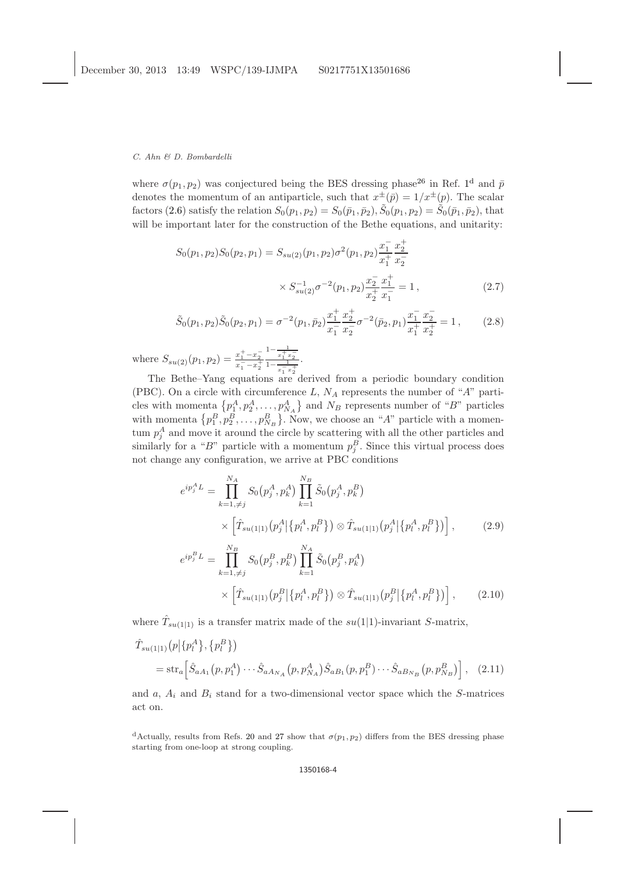where  $\sigma(p_1, p_2)$  $\sigma(p_1, p_2)$  $\sigma(p_1, p_2)$  was conjectured being the BES dressing phase<sup>[26](#page-13-19)</sup> in Ref. 1<sup>[d](#page-3-0)</sup> and  $\bar{p}$ denotes the momentum of an antiparticle, such that  $x^{\pm}(\bar{p}) = 1/x^{\pm}(p)$ . The scalar factors [\(2.6\)](#page-2-1) satisfy the relation  $S_0(p_1, p_2) = S_0(\bar{p}_1, \bar{p}_2), \tilde{S}_0(p_1, p_2) = \tilde{S}_0(\bar{p}_1, \bar{p}_2)$ , that will be important later for the construction of the Bethe equations, and unitarity:

$$
S_0(p_1, p_2)S_0(p_2, p_1) = S_{su(2)}(p_1, p_2)\sigma^2(p_1, p_2)\frac{x_1^2}{x_1^2} \frac{x_2^2}{x_2^2}
$$

$$
\times S_{su(2)}^{-1}\sigma^{-2}(p_1, p_2)\frac{x_2^2}{x_2^2} \frac{x_1^+}{x_1^-} = 1,
$$
 (2.7)

$$
\tilde{S}_0(p_1, p_2)\tilde{S}_0(p_2, p_1) = \sigma^{-2}(p_1, \bar{p}_2) \frac{x_1^+}{x_1^-} \frac{x_2^+}{x_2^-} \sigma^{-2}(\bar{p}_2, p_1) \frac{x_1^-}{x_1^+} \frac{x_2^-}{x_2^+} = 1, \qquad (2.8)
$$

where  $S_{su(2)}(p_1, p_2) = \frac{x_1^+ - x_2^-}{x_1^- - x_2^+}$  $\frac{1-\frac{1}{x_1^+x_2^-}}{1-\frac{1}{x_1^-x_2^+}}$ .

The Bethe–Yang equations are derived from a periodic boundary condition (PBC). On a circle with circumference L,  $N_A$  represents the number of "A" particles with momenta  $\{p_1^A, p_2^A, \ldots, p_{N_A}^A\}$  and  $N_B$  represents number of "B" particles with momenta  $\{p_1^B, p_2^B, \ldots, p_{N_B}^B\}$ . Now, we choose an "A" particle with a momentum  $p_j^A$  and move it around the circle by scattering with all the other particles and similarly for a "B" particle with a momentum  $p_j^B$ . Since this virtual process does not change any configuration, we arrive at PBC conditions

<span id="page-3-2"></span>
$$
e^{ip_j^A L} = \prod_{k=1,\neq j}^{N_A} S_0(p_j^A, p_k^A) \prod_{k=1}^{N_B} \tilde{S}_0(p_j^A, p_k^B)
$$
  
\n
$$
\times \left[ \hat{T}_{su(1|1)}(p_j^A | \{p_l^A, p_l^B\}) \otimes \hat{T}_{su(1|1)}(p_j^A | \{p_l^A, p_l^B\}) \right],
$$
\n
$$
e^{ip_j^B L} = \prod_{k=1,\neq j}^{N_B} S_0(p_j^B, p_k^B) \prod_{k=1}^{N_A} \tilde{S}_0(p_j^B, p_k^A)
$$
  
\n
$$
\times \left[ \hat{T}_{su(1|1)}(p_j^B | \{p_l^A, p_l^B\}) \otimes \hat{T}_{su(1|1)}(p_j^B | \{p_l^A, p_l^B\}) \right],
$$
\n(2.10)

where  $\hat{T}_{su(1|1)}$  is a transfer matrix made of the  $su(1|1)$ -invariant S-matrix,

<span id="page-3-1"></span>
$$
\hat{T}_{su(1|1)}(p|\{p_1^A\}, \{p_l^B\})
$$
\n
$$
= \operatorname{str}_a \left[ \hat{S}_{aA_1}(p, p_1^A) \cdots \hat{S}_{aA_{N_A}}(p, p_{N_A}^A) \hat{S}_{aB_1}(p, p_1^B) \cdots \hat{S}_{aB_{N_B}}(p, p_{N_B}^B) \right],
$$
\n(2.11)

and a,  $A_i$  and  $B_i$  stand for a two-dimensional vector space which the S-matrices act on.

<span id="page-3-0"></span><sup>&</sup>lt;sup>d</sup>Actually, results from Refs. [20](#page-13-12) and [27](#page-14-0) show that  $\sigma(p_1, p_2)$  differs from the BES dressing phase starting from one-loop at strong coupling.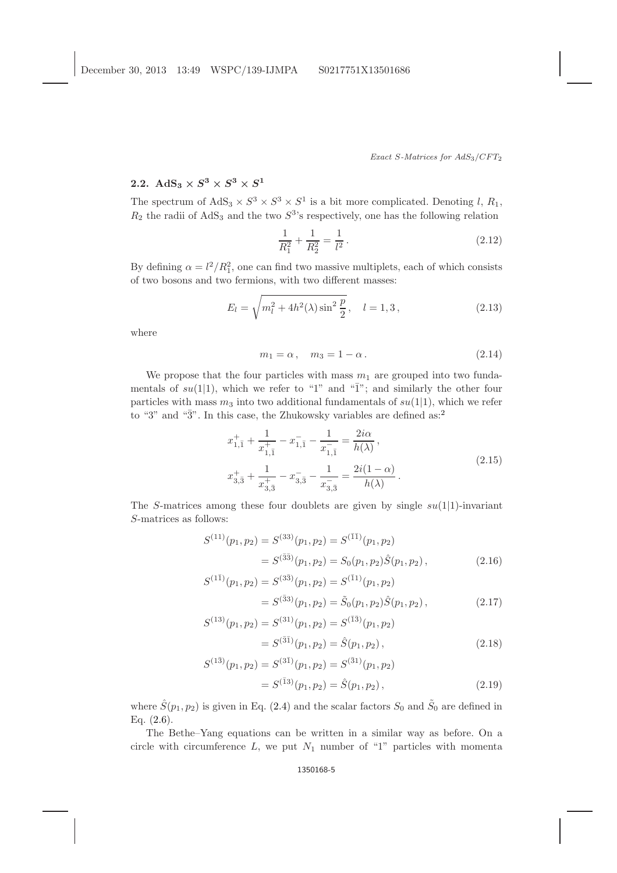Exact S-Matrices for  $AdS_3/CFT_2$ 

# 2.2. AdS<sub>3</sub>  $\times$   $S^3$   $\times$   $S^3$   $\times$   $S^1$

The spectrum of  $AdS_3 \times S^3 \times S^3 \times S^1$  is a bit more complicated. Denoting l,  $R_1$ ,  $R_2$  the radii of AdS<sub>3</sub> and the two  $S^3$ 's respectively, one has the following relation

$$
\frac{1}{R_1^2} + \frac{1}{R_2^2} = \frac{1}{l^2}.
$$
\n(2.12)

By defining  $\alpha = l^2/R_1^2$ , one can find two massive multiplets, each of which consists of two bosons and two fermions, with two different masses:

$$
E_l = \sqrt{m_l^2 + 4h^2(\lambda)\sin^2\frac{p}{2}}, \quad l = 1, 3, \tag{2.13}
$$

where

$$
m_1 = \alpha, \quad m_3 = 1 - \alpha. \tag{2.14}
$$

We propose that the four particles with mass  $m_1$  are grouped into two fundamentals of  $su(1|1)$ , which we refer to "1" and " $\overline{1}$ "; and similarly the other four particles with mass  $m_3$  into two additional fundamentals of  $su(1|1)$ , which we refer to "3" and " $\overline{3}$ ". In this case, the Zhukowsky variables are defined as:<sup>[2](#page-13-9)</sup>

$$
x_{1,\bar{1}}^{+} + \frac{1}{x_{1,\bar{1}}^{+}} - x_{1,\bar{1}}^{-} - \frac{1}{x_{1,\bar{1}}^{-}} = \frac{2i\alpha}{h(\lambda)},
$$
  

$$
x_{3,\bar{3}}^{+} + \frac{1}{x_{3,\bar{3}}^{+}} - x_{3,\bar{3}}^{-} - \frac{1}{x_{3,\bar{3}}^{-}} = \frac{2i(1-\alpha)}{h(\lambda)}.
$$
 (2.15)

The S-matrices among these four doublets are given by single  $su(1|1)$ -invariant S-matrices as follows:

$$
S^{(11)}(p_1, p_2) = S^{(33)}(p_1, p_2) = S^{(\bar{1}\bar{1})}(p_1, p_2)
$$
  
= 
$$
S^{(\bar{3}\bar{3})}(p_1, p_2) = S_0(p_1, p_2)\hat{S}(p_1, p_2),
$$
 (2.16)

$$
S^{(1\bar{1})}(p_1, p_2) = S^{(3\bar{3})}(p_1, p_2) = S^{(\bar{1}1)}(p_1, p_2)
$$
  
= 
$$
S^{(33)}(p_1, p_2) = \tilde{S}_0(p_1, p_2)\hat{S}(p_1, p_2),
$$
 (2.17)

$$
S^{(13)}(p_1, p_2) = S^{(31)}(p_1, p_2) = S^{(13)}(p_1, p_2)
$$
  
= 
$$
S^{(31)}(p_1, p_2) = \hat{S}(p_1, p_2),
$$
 (2.18)

$$
S^{(1\bar{3})}(p_1, p_2) = S^{(3\bar{1})}(p_1, p_2) = S^{(\bar{3}1)}(p_1, p_2)
$$
  
=  $S^{(\bar{1}3)}(p_1, p_2) = \hat{S}(p_1, p_2)$ , (2.19)

where  $\hat{S}(p_1, p_2)$  is given in Eq. [\(2.4\)](#page-2-0) and the scalar factors  $S_0$  and  $\tilde{S}_0$  are defined in Eq.  $(2.6)$ .

The Bethe–Yang equations can be written in a similar way as before. On a circle with circumference  $L$ , we put  $N_1$  number of "1" particles with momenta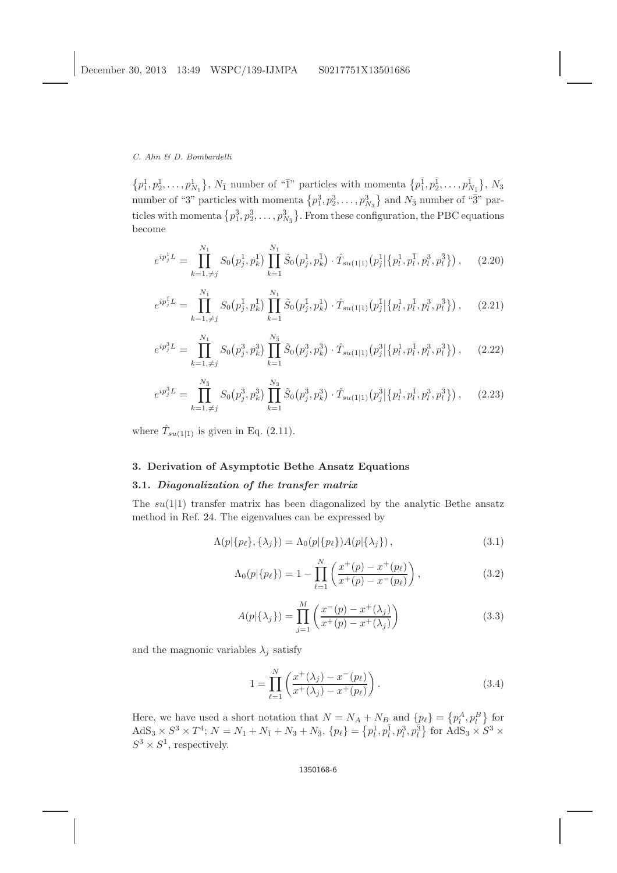$\{p_1^1, p_2^1, \ldots, p_{N_1}^1\}, N_{\bar{1}}$  number of " $\bar{1}$ " particles with momenta  $\{p_1^{\bar{1}}, p_2^{\bar{1}}, \ldots, p_{N_{\bar{1}}}^1\}, N_3$ number of "3" particles with momenta  $\{p_1^3, p_2^3, \ldots, p_{N_3}^3\}$  and  $N_{\bar{3}}$  number of "3" particles with momenta  $\{p_1^{\bar{3}}, p_2^{\bar{3}}, \ldots, p_{N_{\bar{3}}}^{\bar{3}}\}$ . From these configuration, the PBC equations become

<span id="page-5-0"></span>
$$
e^{ip_j^1 L} = \prod_{k=1,\neq j}^{N_1} S_0(p_j^1, p_k^1) \prod_{k=1}^{N_{\bar{1}}} \tilde{S}_0(p_j^1, p_k^{\bar{1}}) \cdot \hat{T}_{su(1|1)}(p_j^1 | \{p_l^1, p_l^{\bar{1}}, p_l^3, p_l^3\}), \quad (2.20)
$$

$$
e^{ip_j^{\mathrm{T}}L} = \prod_{k=1,\neq j}^{N_{\mathrm{T}}} S_0(p_j^{\mathrm{T}}, p_k^{\mathrm{T}}) \prod_{k=1}^{N_1} \tilde{S}_0(p_j^{\mathrm{T}}, p_k^{\mathrm{T}}) \cdot \hat{T}_{su(1|1)}(p_j^{\mathrm{T}}|\{p_l^1, p_l^1, p_l^3, p_l^3\}), \quad (2.21)
$$

$$
e^{ip_j^3 L} = \prod_{k=1,\neq j}^{N_1} S_0(p_j^3, p_k^3) \prod_{k=1}^{N_3} \tilde{S}_0(p_j^3, p_k^{\bar{3}}) \cdot \hat{T}_{su(1|1)}(p_j^3 | \{p_l^1, p_l^{\bar{1}}, p_l^3, p_l^{\bar{3}}\}), \quad (2.22)
$$

$$
e^{ip_j^{\bar{3}}L} = \prod_{k=1,\neq j}^{N_{\bar{3}}} S_0(p_j^{\bar{3}}, p_k^{\bar{3}}) \prod_{k=1}^{N_3} \tilde{S}_0(p_j^{\bar{3}}, p_k^{\bar{3}}) \cdot \hat{T}_{su(1|1)}(p_j^{\bar{3}}|\{p_l^1, p_l^1, p_l^3, p_l^3\}), \quad (2.23)
$$

where  $\hat{T}_{su(1|1)}$  is given in Eq. [\(2.11\)](#page-3-1).

## 3. Derivation of Asymptotic Bethe Ansatz Equations

## 3.1. Diagonalization of the transfer matrix

The  $su(1|1)$  transfer matrix has been diagonalized by the analytic Bethe ansatz method in Ref. [24.](#page-13-15) The eigenvalues can be expressed by

$$
\Lambda(p|\{p_\ell\}, \{\lambda_j\}) = \Lambda_0(p|\{p_\ell\}) \Lambda(p|\{\lambda_j\}), \tag{3.1}
$$

$$
\Lambda_0(p|\{p_\ell\}) = 1 - \prod_{\ell=1}^N \left( \frac{x^+(p) - x^+(p_\ell)}{x^+(p) - x^-(p_\ell)} \right),\tag{3.2}
$$

$$
A(p|\{\lambda_j\}) = \prod_{j=1}^{M} \left( \frac{x^-(p) - x^+(\lambda_j)}{x^+(p) - x^+(\lambda_j)} \right)
$$
\n(3.3)

and the magnonic variables  $\lambda_i$  satisfy

$$
1 = \prod_{\ell=1}^{N} \left( \frac{x^+(\lambda_j) - x^-(p_\ell)}{x^+(\lambda_j) - x^+(p_\ell)} \right).
$$
 (3.4)

Here, we have used a short notation that  $N = N_A + N_B$  and  $\{p_\ell\} = \{p_l^A, p_l^B\}$  for  $\text{AdS}_3 \times S^3 \times T^4$ ;  $N = N_1 + N_1 + N_3 + N_3$ ,  $\{p_\ell\} = \{p_l^1, p_l^1, p_l^3, p_l^3\}$  for  $\text{AdS}_3 \times S^3 \times$  $S^3 \times S^1$ , respectively.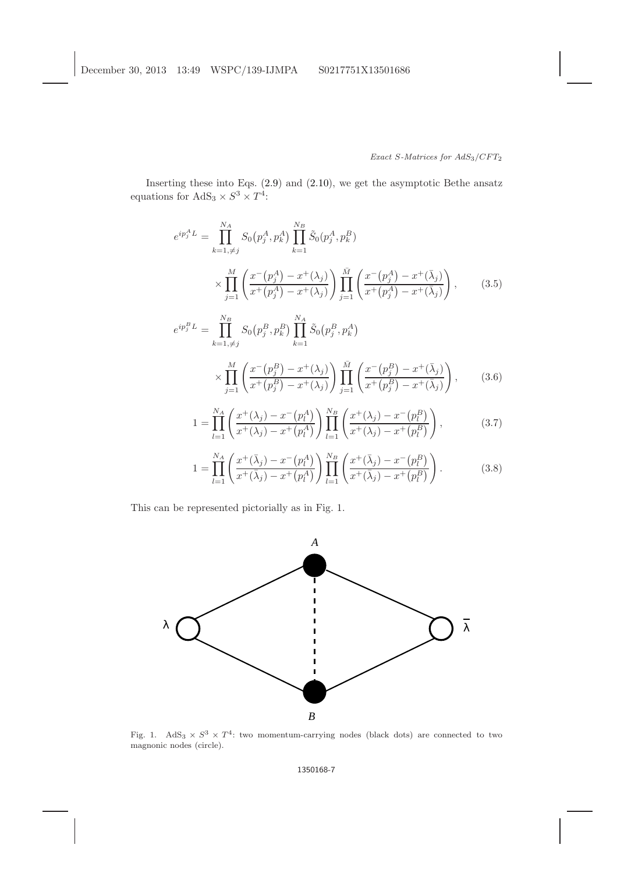Inserting these into Eqs. [\(2.9\)](#page-3-2) and [\(2.10\)](#page-3-2), we get the asymptotic Bethe ansatz equations for  $AdS_3 \times S^3 \times T^4$ :

<span id="page-6-0"></span>
$$
e^{ip_j^A L} = \prod_{k=1,\neq j}^{N_A} S_0(p_j^A, p_k^A) \prod_{k=1}^{N_B} \tilde{S}_0(p_j^A, p_k^B)
$$
  
 
$$
\times \prod_{j=1}^M \left( \frac{x^-(p_j^A) - x^+(\lambda_j)}{x^+(p_j^A) - x^+(\lambda_j)} \right) \prod_{j=1}^M \left( \frac{x^-(p_j^A) - x^+(\bar{\lambda}_j)}{x^+(p_j^A) - x^+(\bar{\lambda}_j)} \right), \tag{3.5}
$$

$$
e^{ip_j^B L} = \prod_{k=1,\neq j}^{N_B} S_0(p_j^B, p_k^B) \prod_{k=1}^{N_A} \tilde{S}_0(p_j^B, p_k^A)
$$
  
 
$$
\times \prod_{j=1}^M \left( \frac{x^-(p_j^B) - x^+(\lambda_j)}{x^+(p_j^B) - x^+(\lambda_j)} \right) \prod_{j=1}^M \left( \frac{x^-(p_j^B) - x^+(\bar{\lambda}_j)}{x^+(p_j^B) - x^+(\bar{\lambda}_j)} \right), \qquad (3.6)
$$

$$
1 = \prod_{l=1}^{N_A} \left( \frac{x^+(\lambda_j) - x^-(p_l^A)}{x^+(\lambda_j) - x^+(p_l^A)} \right) \prod_{l=1}^{N_B} \left( \frac{x^+(\lambda_j) - x^-(p_l^B)}{x^+(\lambda_j) - x^+(p_l^B)} \right), \tag{3.7}
$$

$$
1 = \prod_{l=1}^{N_A} \left( \frac{x^+(\bar{\lambda}_j) - x^-(p_l^A)}{x^+(\bar{\lambda}_j) - x^+(p_l^A)} \right) \prod_{l=1}^{N_B} \left( \frac{x^+(\bar{\lambda}_j) - x^-(p_l^B)}{x^+(\bar{\lambda}_j) - x^+(p_l^B)} \right).
$$
(3.8)

This can be represented pictorially as in Fig. 1.



Fig. 1. AdS<sub>3</sub>  $\times$   $S^3$   $\times$   $T^4$ : two momentum-carrying nodes (black dots) are connected to two magnonic nodes (circle).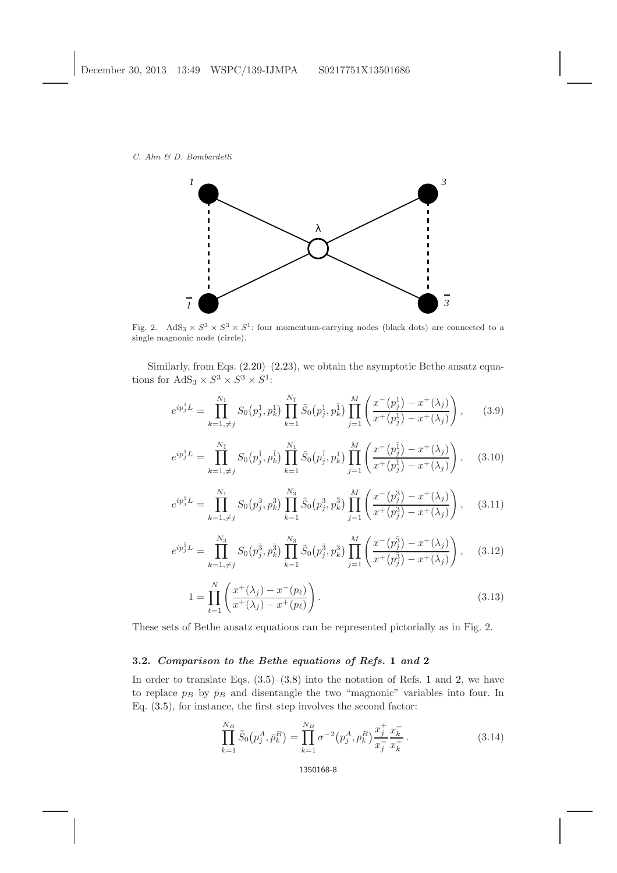

Fig. 2. AdS<sub>3</sub>  $\times$   $S^3 \times S^3 \times S^1$ : four momentum-carrying nodes (black dots) are connected to a single magnonic node (circle).

Similarly, from Eqs.  $(2.20)$ – $(2.23)$ , we obtain the asymptotic Bethe ansatz equations for  $AdS_3 \times S^3 \times S^3 \times S^1$ :

<span id="page-7-0"></span>
$$
e^{ip_j^1 L} = \prod_{k=1,\neq j}^{N_1} S_0(p_j^1, p_k^1) \prod_{k=1}^{N_1} \tilde{S}_0(p_j^1, p_k^1) \prod_{j=1}^M \left( \frac{x^-(p_j^1) - x^+(\lambda_j)}{x^+(p_j^1) - x^+(\lambda_j)} \right), \quad (3.9)
$$

$$
e^{ip_j^{\bar{1}}L} = \prod_{k=1,\neq j}^{N_{\bar{1}}} S_0(p_j^{\bar{1}}, p_k^{\bar{1}}) \prod_{k=1}^{N_1} \tilde{S}_0(p_j^{\bar{1}}, p_k^{\bar{1}}) \prod_{j=1}^M \left( \frac{x^-(p_j^{\bar{1}}) - x^+(\lambda_j)}{x^+(p_j^{\bar{1}}) - x^+(\lambda_j)} \right), \quad (3.10)
$$

$$
e^{ip_j^3 L} = \prod_{k=1,\neq j}^{N_1} S_0(p_j^3, p_k^3) \prod_{k=1}^{N_3} \tilde{S}_0(p_j^3, p_k^{\bar{3}}) \prod_{j=1}^M \left( \frac{x^-(p_j^3) - x^+(\lambda_j)}{x^+(p_j^3) - x^+(\lambda_j)} \right), \quad (3.11)
$$

$$
e^{ip_j^{\bar{3}}L} = \prod_{k=1,\neq j}^{N_3} S_0(p_j^{\bar{3}}, p_k^{\bar{3}}) \prod_{k=1}^{N_3} \tilde{S}_0(p_j^{\bar{3}}, p_k^{\bar{3}}) \prod_{j=1}^M \left( \frac{x^-(p_j^{\bar{3}}) - x^+(\lambda_j)}{x^+(p_j^{\bar{3}}) - x^+(\lambda_j)} \right), \quad (3.12)
$$

$$
1 = \prod_{\ell=1}^{N} \left( \frac{x^+(\lambda_j) - x^-(p_\ell)}{x^+(\lambda_j) - x^+(p_\ell)} \right).
$$
\n(3.13)

These sets of Bethe ansatz equations can be represented pictorially as in Fig. 2.

## 3.2. Comparison to the Bethe equations of Refs. [1](#page-13-8) and [2](#page-13-9)

In order to translate Eqs.  $(3.5)$ – $(3.8)$  into the notation of Refs. [1](#page-13-8) and [2,](#page-13-9) we have to replace  $p_B$  by  $\bar{p}_B$  and disentangle the two "magnonic" variables into four. In Eq. [\(3.5\)](#page-6-0), for instance, the first step involves the second factor:

$$
\prod_{k=1}^{N_B} \tilde{S}_0(p_j^A, \bar{p}_k^B) = \prod_{k=1}^{N_B} \sigma^{-2} (p_j^A, p_k^B) \frac{x_j^+}{x_j^-} \frac{x_k^-}{x_k^+}.
$$
\n(3.14)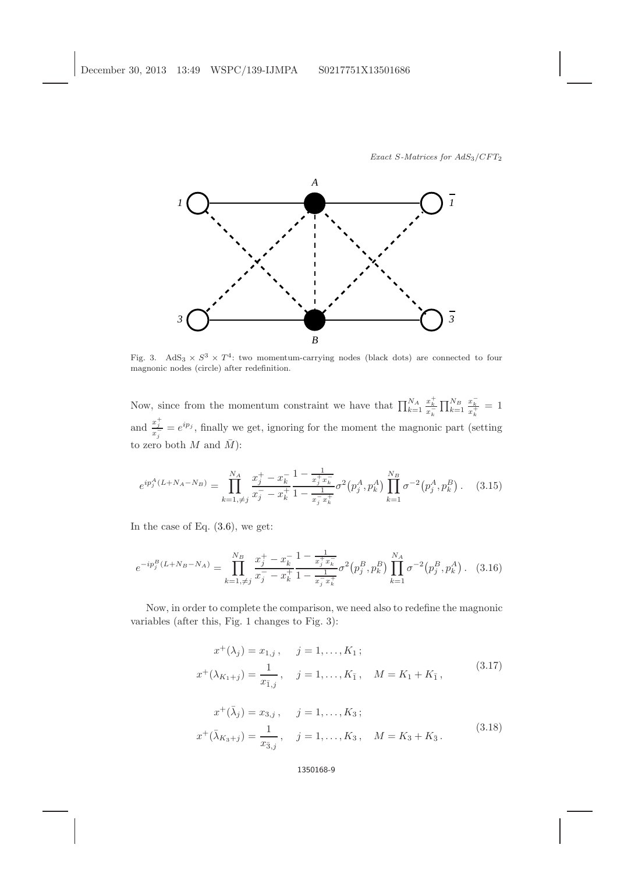

Fig. 3. AdS<sub>3</sub>  $\times$   $S^3$   $\times$   $T^4$ : two momentum-carrying nodes (black dots) are connected to four magnonic nodes (circle) after redefinition.

Now, since from the momentum constraint we have that  $\prod_{k=1}^{N_A}$  $\frac{x_k^+}{x_k^-} \prod_{k=1}^{N_B}$  $\frac{x_k^-}{x_k^+} = 1$ and  $\frac{x_j^+}{x_j^-} = e^{ip_j}$ , finally we get, ignoring for the moment the magnonic part (setting to zero both  $M$  and  $\overline{M}$ ):

$$
e^{ip_j^A(L+N_A-N_B)} = \prod_{k=1,\neq j}^{N_A} \frac{x_j^+ - x_k^-}{x_j^- - x_k^+} \frac{1 - \frac{1}{x_j^+ x_k^-}}{1 - \frac{1}{x_j^- x_k^+}} \sigma^2(p_j^A, p_k^A) \prod_{k=1}^{N_B} \sigma^{-2}(p_j^A, p_k^B). \tag{3.15}
$$

In the case of Eq.  $(3.6)$ , we get:

$$
e^{-ip_j^B(L+N_B-N_A)} = \prod_{k=1,\neq j}^{N_B} \frac{x_j^+ - x_k^-}{x_j^- - x_k^+} \frac{1 - \frac{1}{x_j^+ x_k^-}}{1 - \frac{1}{x_j^- x_k^+}} \sigma^2(p_j^B, p_k^B) \prod_{k=1}^{N_A} \sigma^{-2}(p_j^B, p_k^A).
$$
 (3.16)

Now, in order to complete the comparison, we need also to redefine the magnonic variables (after this, Fig. 1 changes to Fig. 3):

$$
x^{+}(\lambda_{j}) = x_{1,j}, \quad j = 1, ..., K_{1};
$$
  

$$
x^{+}(\lambda_{K_{1}+j}) = \frac{1}{x_{\bar{1},j}}, \quad j = 1, ..., K_{\bar{1}}, \quad M = K_{1} + K_{\bar{1}},
$$
 (3.17)

$$
x^{+}(\bar{\lambda}_{j}) = x_{3,j}, \quad j = 1, ..., K_{3};
$$
  

$$
x^{+}(\bar{\lambda}_{K_{3}+j}) = \frac{1}{x_{\bar{3},j}}, \quad j = 1, ..., K_{3}, \quad M = K_{3} + K_{\bar{3}}.
$$
 (3.18)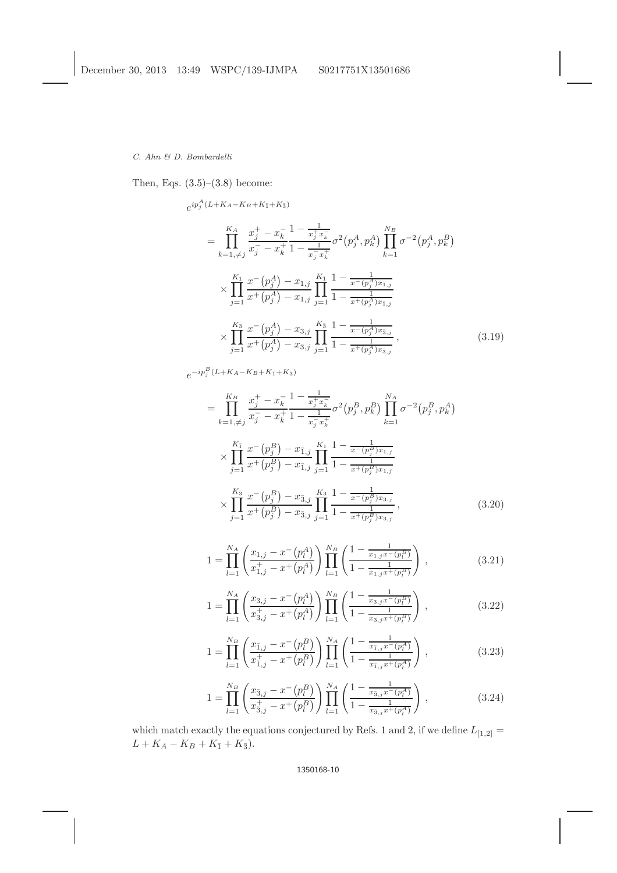Then, Eqs. [\(3.5\)](#page-6-0)–[\(3.8\)](#page-6-0) become:

$$
e^{ip_j^A (L+K_A-K_B+K_{\bar{1}}+K_{\bar{3}})}
$$
\n
$$
= \prod_{k=1,\neq j}^{K_A} \frac{x_j^+-x_k^-}{x_j^--x_k^+} \frac{1-\frac{1}{x_j^+x_k^-}}{1-\frac{1}{x_j^-x_k^+}} \sigma^2(p_j^A, p_k^A) \prod_{k=1}^{N_B} \sigma^{-2}(p_j^A, p_k^B)
$$
\n
$$
\times \prod_{j=1}^{K_1} \frac{x^-(p_j^A) - x_{1,j}}{x^+(p_j^A) - x_{1,j}} \prod_{j=1}^{K_{\bar{1}}} \frac{1-\frac{1}{x^-(p_j^A)x_{\bar{1},j}}}{1-\frac{1}{x^+(p_j^A)x_{\bar{1},j}}}
$$
\n
$$
\times \prod_{j=1}^{K_3} \frac{x^-(p_j^A) - x_{3,j}}{x^+(p_j^A) - x_{3,j}} \prod_{j=1}^{K_{\bar{3}}} \frac{1-\frac{1}{x^-(p_j^A)x_{\bar{3},j}}}{1-\frac{1}{x^+(p_j^A)x_{\bar{3},j}}}, \qquad (3.19)
$$

 $e^{-ip_j^B(L+K_A-K_B+K_{\bar{1}}+K_{\bar{3}})}$ 

$$
= \prod_{k=1,\neq j}^{K_B} \frac{x_j^+ - x_k^-}{x_j^- - x_k^+} \frac{1 - \frac{1}{x_j^+ x_k^-}}{1 - \frac{1}{x_j^- x_k^+}} \sigma^2(p_j^B, p_k^B) \prod_{k=1}^{N_A} \sigma^{-2}(p_j^B, p_k^A)
$$
  
\n
$$
\times \prod_{j=1}^{K_1} \frac{x^-(p_j^B) - x_{1,j}}{x^+(p_j^B) - x_{1,j}} \prod_{j=1}^{K_1} \frac{1 - \frac{1}{x^-(p_j^B)x_{1,j}}}{1 - \frac{1}{x^+(p_j^B)x_{1,j}}}
$$
  
\n
$$
\times \prod_{j=1}^{K_3} \frac{x^-(p_j^B) - x_{3,j}}{x^+(p_j^B) - x_{3,j}} \prod_{j=1}^{K_3} \frac{1 - \frac{1}{x^-(p_j^B)x_{3,j}}}{1 - \frac{1}{x^+(p_j^B)x_{3,j}}},
$$
\n(3.20)

$$
1 = \prod_{l=1}^{N_A} \left( \frac{x_{1,j} - x^-(p_l^A)}{x_{1,j}^+ - x^+(p_l^A)} \right) \prod_{l=1}^{N_B} \left( \frac{1 - \frac{1}{x_{1,j}x^-(p_l^B)}}{1 - \frac{1}{x_{1,j}x^+(p_l^B)}} \right), \tag{3.21}
$$

$$
1 = \prod_{l=1}^{N_A} \left( \frac{x_{3,j} - x^-(p_l^A)}{x_{3,j}^+ - x^+(p_l^A)} \right) \prod_{l=1}^{N_B} \left( \frac{1 - \frac{1}{x_{3,j}x^-(p_l^B)}}{1 - \frac{1}{x_{3,j}x^+(p_l^B)}} \right), \tag{3.22}
$$

$$
1 = \prod_{l=1}^{N_B} \left( \frac{x_{\bar{1},j} - x^{-}(p_l^B)}{x_{\bar{1},j}^+ - x^{+}(p_l^B)} \right) \prod_{l=1}^{N_A} \left( \frac{1 - \frac{1}{x_{\bar{1},j}x^{-}(p_l^A)}}{1 - \frac{1}{x_{\bar{1},j}x^{+}(p_l^A)}} \right),
$$
\n(3.23)

$$
1 = \prod_{l=1}^{N_B} \left( \frac{x_{\bar{3},j} - x^{-}(p_l^B)}{x_{\bar{3},j}^+ - x^{+}(p_l^B)} \right) \prod_{l=1}^{N_A} \left( \frac{1 - \frac{1}{x_{\bar{3},j}x^{-}(p_l^A)}}{1 - \frac{1}{x_{\bar{3},j}x^{+}(p_l^A)}} \right),
$$
\n(3.24)

which match exactly the equations conjectured by Refs. [1](#page-13-8) and [2,](#page-13-9) if we define  $L_{[1,2]} =$  $L + K_A - K_B + K_{\bar{1}} + K_{\bar{3}}).$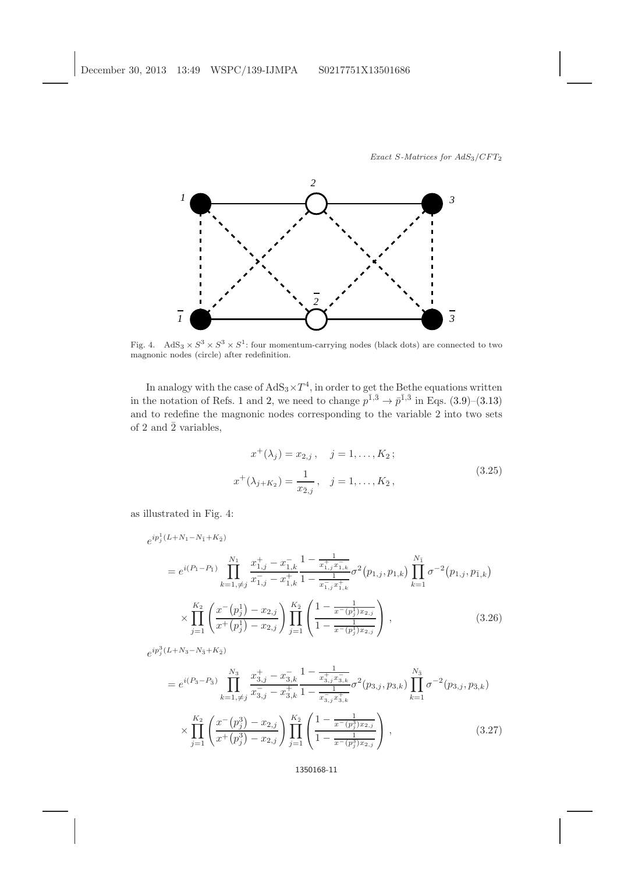

Fig. 4. AdS<sub>3</sub>  $\times S^3 \times S^3 \times S^1$ : four momentum-carrying nodes (black dots) are connected to two magnonic nodes (circle) after redefinition.

In analogy with the case of  $AdS_3 \times T^4$ , in order to get the Bethe equations written in the notation of Refs. [1](#page-13-8) and [2,](#page-13-9) we need to change  $p^{\bar{1},\bar{3}} \to \bar{p}^{\bar{1},\bar{3}}$  in Eqs. [\(3.9\)](#page-7-0)–[\(3.13\)](#page-7-0) and to redefine the magnonic nodes corresponding to the variable 2 into two sets of 2 and  $\overline{2}$  variables,

$$
x^{+}(\lambda_{j}) = x_{2,j}, \quad j = 1, ..., K_{2};
$$
  

$$
x^{+}(\lambda_{j+K_{2}}) = \frac{1}{x_{\overline{2},j}}, \quad j = 1, ..., K_{\overline{2}},
$$
 (3.25)

as illustrated in Fig. 4:

$$
e^{ip_j^1(L+N_1-N_{\bar{1}}+K_{\bar{2}})}
$$
\n
$$
= e^{i(P_1-P_{\bar{1}})} \prod_{k=1,\neq j}^{N_1} \frac{x_{1,j}^+ - x_{1,k}^-}{x_{1,j}^- - x_{1,k}^+} \frac{1 - \frac{1}{x_{1,j}^+,x_{1,k}^-}}{1 - \frac{1}{x_{1,j}^-,x_{1,k}^+}} \sigma^2(p_{1,j}, p_{1,k}) \prod_{k=1}^{N_{\bar{1}}} \sigma^{-2}(p_{1,j}, p_{\bar{1},k})
$$
\n
$$
\times \prod_{j=1}^{K_2} \left( \frac{x^-(p_j^1) - x_{2,j}}{x^+(p_j^1) - x_{2,j}} \right) \prod_{j=1}^{K_{\bar{2}}} \left( \frac{1 - \frac{1}{x^-(p_j^1)x_{2,j}}}{1 - \frac{1}{x^-(p_j^1)x_{2,j}}} \right),
$$
\n(3.26)

 $e^{ip_j^3(L+N_3-N_{\bar{3}}+K_{\bar{2}})}$ 

$$
= e^{i(P_3 - P_3)} \prod_{k=1,\neq j}^{N_3} \frac{x_{3,j}^+ - x_{3,k}^-}{x_{3,j}^- - x_{3,k}^+} \frac{1 - \frac{1}{x_{3,j}^+ x_{3,k}^-}}{1 - \frac{1}{x_{3,j}^- x_{3,k}^+}} \sigma^2(p_{3,j}, p_{3,k}) \prod_{k=1}^{N_3} \sigma^{-2}(p_{3,j}, p_{\bar{3},k})
$$

$$
\times \prod_{j=1}^{K_2} \left( \frac{x^-(p_j^3) - x_{2,j}}{x^+(p_j^3) - x_{2,j}} \right) \prod_{j=1}^{K_2} \left( \frac{1 - \frac{1}{x^-(p_j^3) x_{2,j}}}{1 - \frac{1}{x^-(p_j^3) x_{2,j}}} \right),
$$
(3.27)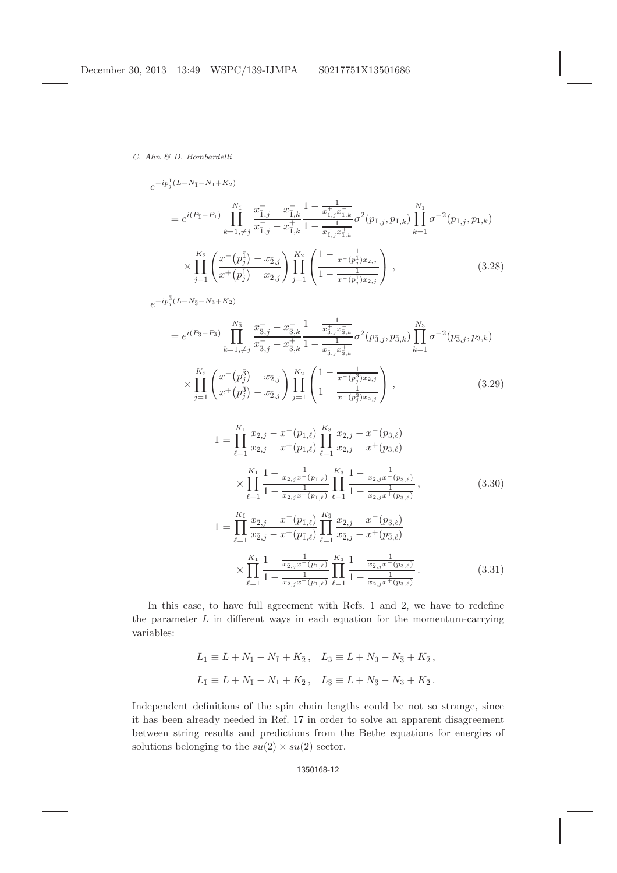$$
e^{-ip_j^{\bar{1}}(L+N_{\bar{1}}-N_{1}+K_{2})}
$$
\n
$$
= e^{i(P_{\bar{1}}-P_{1})} \prod_{k=1,\neq j}^{N_{\bar{1}}} \frac{x_{\bar{1},j}^{+}-x_{\bar{1},k}^{-}}{x_{\bar{1},j}^{-}-x_{\bar{1},k}^{+}} \frac{1-\frac{1}{x_{\bar{1},j}^{+}x_{\bar{1},k}^{-}}}{1-\frac{1}{x_{\bar{1},j}^{-}x_{\bar{1},k}^{+}}} \sigma^{2}(p_{\bar{1},j}, p_{\bar{1},k}) \prod_{k=1}^{N_{1}} \sigma^{-2}(p_{\bar{1},j}, p_{1,k})
$$
\n
$$
\times \prod_{j=1}^{K_{\bar{2}}} \left(\frac{x^{-}(p_{j}^{\bar{1}})-x_{2,j}}{x^{+}(p_{j}^{\bar{1}})-x_{2,j}}\right) \prod_{j=1}^{K_{2}} \left(\frac{1-\frac{1}{x^{-}(p_{j}^{\bar{1}})x_{2,j}}}{1-\frac{1}{x^{-}(p_{j}^{\bar{1}})x_{2,j}}}\right), \qquad (3.28)
$$

 $e^{-ip_j^3(L+N_{\bar{3}}-N_3+K_2)}$  $= e^{i(P_{\bar{3}}-P_{3})}$  $N_{\bar{3}}$  $k=1,\neq j$  $x^+_{\bar{3},j} - x^-_{\bar{3},k}$  $x_{\bar{3},j}^- - x_{\bar{3},k}^+$  $1-\frac{1}{x_{5}^+}$  $x^+_{\bar{3},j}x^-_{\bar{3},k}$  $1 - \frac{1}{x_{\bar{3},j}^-,x_{\bar{3},k}^+}$  $\sigma^2(p_{\bar{3},j},p_{\bar{3},k})\prod$  $N_3$  $k=1$  $\sigma^{-2}(p_{\bar{3},j},p_{3,k})$  $\times \prod$  $\prod_{j=1}^{K_{\bar{2}}} \left( \frac{x^-(p_j^{\bar{3}}) - x_{\bar{2},j}}{x^+(p_j^{\bar{3}}) - x_{\bar{2},j}} \right)$  $\frac{x^-\left(p_j^{\bar3}\right)-x_{\bar2,j}}{x^+\left(p_j^{\bar3}\right)-x_{\bar2,j}}\Bigg) \prod_{j=1}^{K_2}$  $j=1$  $\sqrt{ }$  $\overline{1}$  $1-\frac{1}{x^-(p_j^3)x_{2,j}}$  $1-\frac{1}{x^-(p_j^3)x_{2,j}}$  $\setminus$  $\Big\}$ , (3.29)

$$
1 = \prod_{\ell=1}^{K_1} \frac{x_{2,j} - x^-(p_{1,\ell})}{x_{2,j} - x^+(p_{1,\ell})} \prod_{\ell=1}^{K_3} \frac{x_{2,j} - x^-(p_{3,\ell})}{x_{2,j} - x^+(p_{3,\ell})}
$$
  
\n
$$
\times \prod_{\ell=1}^{K_1} \frac{1 - \frac{1}{x_{2,j}x^-(p_{1,\ell})}}{1 - \frac{1}{x_{2,j}x^+(p_{1,\ell})}} \prod_{\ell=1}^{K_3} \frac{1 - \frac{1}{x_{2,j}x^-(p_{3,\ell})}}{1 - \frac{1}{x_{2,j}x^+(p_{3,\ell})}},
$$
  
\n
$$
1 = \prod_{\ell=1}^{K_1} \frac{x_{\bar{2},j} - x^-(p_{1,\ell})}{x_{\bar{2},j} - x^+(p_{1,\ell})} \prod_{\ell=1}^{K_3} \frac{x_{\bar{2},j} - x^-(p_{\bar{3},\ell})}{x_{\bar{2},j} - x^+(p_{3,\ell})}
$$
  
\n(3.30)

$$
\times \prod_{\ell=1}^{K_1} \frac{1 - \frac{1}{x_{\bar{2},j}x^-(p_{1,\ell})}}{1 - \frac{1}{x_{\bar{2},j}x^+(p_{1,\ell})}} \prod_{\ell=1}^{K_3} \frac{1 - \frac{1}{x_{\bar{2},j}x^-(p_{3,\ell})}}{1 - \frac{1}{x_{\bar{2},j}x^+(p_{3,\ell})}}.
$$
(3.31)

In this case, to have full agreement with Refs. [1](#page-13-8) and [2,](#page-13-9) we have to redefine the parameter  $L$  in different ways in each equation for the momentum-carrying variables:

$$
L_1 \equiv L + N_1 - N_{\bar{1}} + K_{\bar{2}}, \quad L_3 \equiv L + N_3 - N_{\bar{3}} + K_{\bar{2}},
$$
  

$$
L_{\bar{1}} \equiv L + N_{\bar{1}} - N_1 + K_{\bar{2}}, \quad L_{\bar{3}} \equiv L + N_{\bar{3}} - N_3 + K_{\bar{2}}.
$$

Independent definitions of the spin chain lengths could be not so strange, since it has been already needed in Ref. [17](#page-13-17) in order to solve an apparent disagreement between string results and predictions from the Bethe equations for energies of solutions belonging to the  $su(2) \times su(2)$  sector.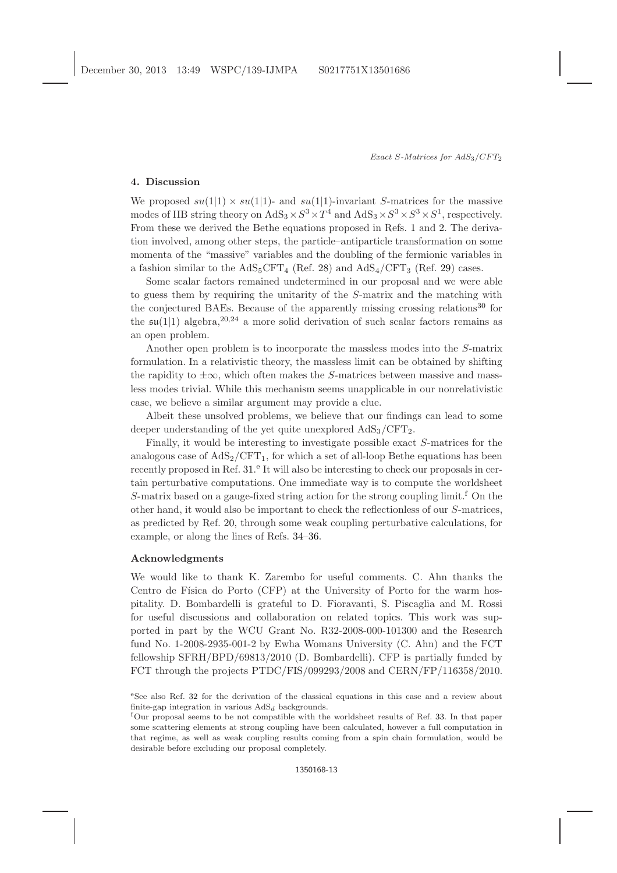## 4. Discussion

We proposed  $su(1|1) \times su(1|1)$ - and  $su(1|1)$ -invariant S-matrices for the massive modes of IIB string theory on  $AdS_3 \times S^3 \times T^4$  and  $AdS_3 \times S^3 \times S^3 \times S^1$ , respectively. From these we derived the Bethe equations proposed in Refs. [1](#page-13-8) and [2.](#page-13-9) The derivation involved, among other steps, the particle–antiparticle transformation on some momenta of the "massive" variables and the doubling of the fermionic variables in a fashion similar to the  $AdS_5CFT_4$  (Ref. [28\)](#page-14-1) and  $AdS_4/CFT_3$  (Ref. [29\)](#page-14-2) cases.

Some scalar factors remained undetermined in our proposal and we were able to guess them by requiring the unitarity of the S-matrix and the matching with the conjectured BAEs. Because of the apparently missing crossing relations<sup>[30](#page-14-3)</sup> for the  $\mathfrak{su}(1|1)$  algebra,  $20,24$  $20,24$  a more solid derivation of such scalar factors remains as an open problem.

Another open problem is to incorporate the massless modes into the S-matrix formulation. In a relativistic theory, the massless limit can be obtained by shifting the rapidity to  $\pm\infty$ , which often makes the S-matrices between massive and massless modes trivial. While this mechanism seems unapplicable in our nonrelativistic case, we believe a similar argument may provide a clue.

Albeit these unsolved problems, we believe that our findings can lead to some deeper understanding of the yet quite unexplored  $AdS_3/CFT_2$ .

Finally, it would be interesting to investigate possible exact S-matrices for the analogous case of  $AdS_2/CFT_1$ , for which a set of all-loop Bethe equations has been recently proposed in Ref. [31.](#page-14-4)<sup>[e](#page-12-0)</sup> It will also be interesting to check our proposals in certain perturbative computations. One immediate way is to compute the worldsheet S-matrix based on a gauge-[f](#page-12-1)ixed string action for the strong coupling limit.<sup> $f$ </sup> On the other hand, it would also be important to check the reflectionless of our S-matrices, as predicted by Ref. [20,](#page-13-12) through some weak coupling perturbative calculations, for example, or along the lines of Refs. [34](#page-14-5)[–36.](#page-14-6)

### Acknowledgments

We would like to thank K. Zarembo for useful comments. C. Ahn thanks the Centro de Física do Porto (CFP) at the University of Porto for the warm hospitality. D. Bombardelli is grateful to D. Fioravanti, S. Piscaglia and M. Rossi for useful discussions and collaboration on related topics. This work was supported in part by the WCU Grant No. R32-2008-000-101300 and the Research fund No. 1-2008-2935-001-2 by Ewha Womans University (C. Ahn) and the FCT fellowship SFRH/BPD/69813/2010 (D. Bombardelli). CFP is partially funded by FCT through the projects PTDC/FIS/099293/2008 and CERN/FP/116358/2010.

<span id="page-12-0"></span><sup>e</sup>See also Ref. [32](#page-14-7) for the derivation of the classical equations in this case and a review about finite-gap integration in various  $AdS_d$  backgrounds.

<span id="page-12-1"></span><sup>f</sup>Our proposal seems to be not compatible with the worldsheet results of Ref. [33.](#page-14-8) In that paper some scattering elements at strong coupling have been calculated, however a full computation in that regime, as well as weak coupling results coming from a spin chain formulation, would be desirable before excluding our proposal completely.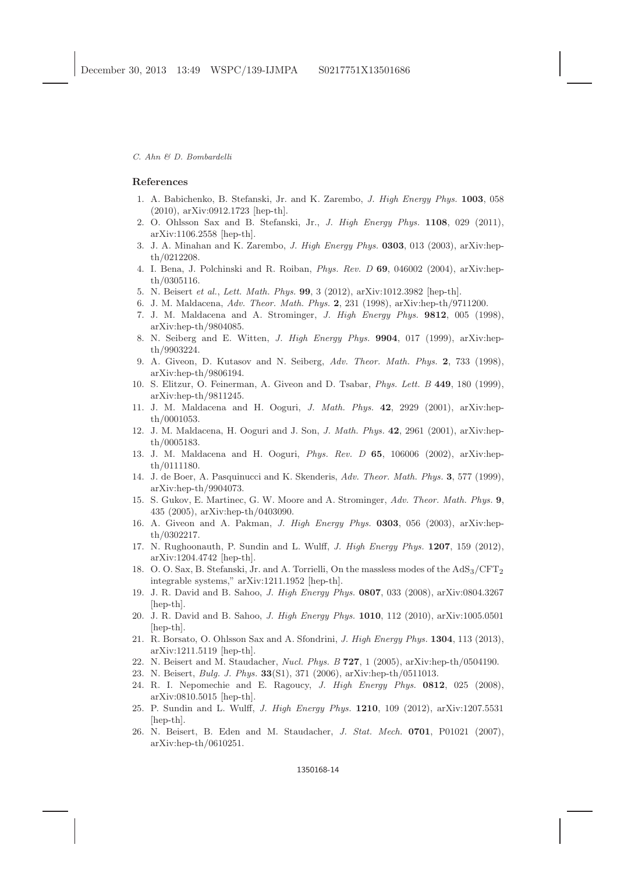#### <span id="page-13-8"></span><span id="page-13-0"></span>References

- 1. A. Babichenko, B. Stefanski, Jr. and K. Zarembo, J. High Energy Phys. 1003, 058 (2010), arXiv:0912.1723 [hep-th].
- <span id="page-13-9"></span>2. O. Ohlsson Sax and B. Stefanski, Jr., J. High Energy Phys. 1108, 029 (2011), arXiv:1106.2558 [hep-th].
- <span id="page-13-1"></span>3. J. A. Minahan and K. Zarembo, J. High Energy Phys. 0303, 013 (2003), arXiv:hepth/0212208.
- <span id="page-13-2"></span>4. I. Bena, J. Polchinski and R. Roiban, Phys. Rev. D 69, 046002 (2004), arXiv:hepth/0305116.
- <span id="page-13-4"></span><span id="page-13-3"></span>5. N. Beisert et al., Lett. Math. Phys. 99, 3 (2012), arXiv:1012.3982 [hep-th].
- 6. J. M. Maldacena, Adv. Theor. Math. Phys. 2, 231 (1998), arXiv:hep-th/9711200.
- 7. J. M. Maldacena and A. Strominger, J. High Energy Phys. 9812, 005 (1998), arXiv:hep-th/9804085.
- <span id="page-13-5"></span>8. N. Seiberg and E. Witten, J. High Energy Phys. 9904, 017 (1999), arXiv:hepth/9903224.
- <span id="page-13-6"></span>9. A. Giveon, D. Kutasov and N. Seiberg, Adv. Theor. Math. Phys. 2, 733 (1998), arXiv:hep-th/9806194.
- 10. S. Elitzur, O. Feinerman, A. Giveon and D. Tsabar, Phys. Lett. B 449, 180 (1999), arXiv:hep-th/9811245.
- 11. J. M. Maldacena and H. Ooguri, J. Math. Phys. 42, 2929 (2001), arXiv:hepth/0001053.
- 12. J. M. Maldacena, H. Ooguri and J. Son, J. Math. Phys. 42, 2961 (2001), arXiv:hepth/0005183.
- 13. J. M. Maldacena and H. Ooguri, Phys. Rev. D 65, 106006 (2002), arXiv:hepth/0111180.
- 14. J. de Boer, A. Pasquinucci and K. Skenderis, Adv. Theor. Math. Phys. 3, 577 (1999), arXiv:hep-th/9904073.
- 15. S. Gukov, E. Martinec, G. W. Moore and A. Strominger, Adv. Theor. Math. Phys. 9, 435 (2005), arXiv:hep-th/0403090.
- <span id="page-13-7"></span>16. A. Giveon and A. Pakman, J. High Energy Phys. 0303, 056 (2003), arXiv:hepth/0302217.
- <span id="page-13-17"></span>17. N. Rughoonauth, P. Sundin and L. Wulff, J. High Energy Phys. 1207, 159 (2012), arXiv:1204.4742 [hep-th].
- <span id="page-13-10"></span>18. O. O. Sax, B. Stefanski, Jr. and A. Torrielli, On the massless modes of the  $AdS_3/CFT_2$ integrable systems," arXiv:1211.1952 [hep-th].
- <span id="page-13-11"></span>19. J. R. David and B. Sahoo, J. High Energy Phys. 0807, 033 (2008), arXiv:0804.3267 [hep-th].
- <span id="page-13-12"></span>20. J. R. David and B. Sahoo, J. High Energy Phys. 1010, 112 (2010), arXiv:1005.0501 [hep-th].
- <span id="page-13-16"></span>21. R. Borsato, O. Ohlsson Sax and A. Sfondrini, J. High Energy Phys. 1304, 113 (2013), arXiv:1211.5119 [hep-th].
- <span id="page-13-14"></span><span id="page-13-13"></span>22. N. Beisert and M. Staudacher, Nucl. Phys. B 727, 1 (2005), arXiv:hep-th/0504190.
- <span id="page-13-15"></span>23. N. Beisert, Bulg. J. Phys. 33(S1), 371 (2006), arXiv:hep-th/0511013.
- 24. R. I. Nepomechie and E. Ragoucy, J. High Energy Phys. 0812, 025 (2008), arXiv:0810.5015 [hep-th].
- <span id="page-13-18"></span>25. P. Sundin and L. Wulff, J. High Energy Phys. 1210, 109 (2012), arXiv:1207.5531 [hep-th].
- <span id="page-13-19"></span>26. N. Beisert, B. Eden and M. Staudacher, J. Stat. Mech. 0701, P01021 (2007), arXiv:hep-th/0610251.